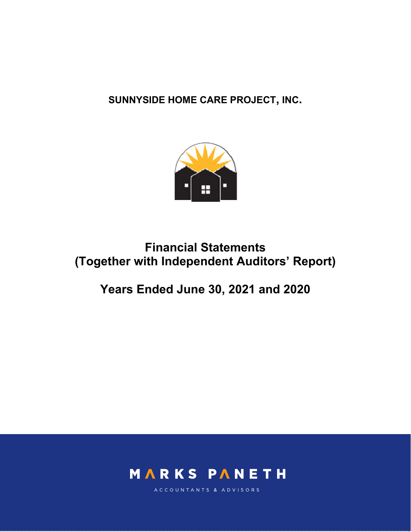**SUNNYSIDE HOME CARE PROJECT, INC.** 



# **Financial Statements (Together with Independent Auditors' Report)**

# **Years Ended June 30, 2021 and 2020**



ACCOUNTANTS & ADVISORS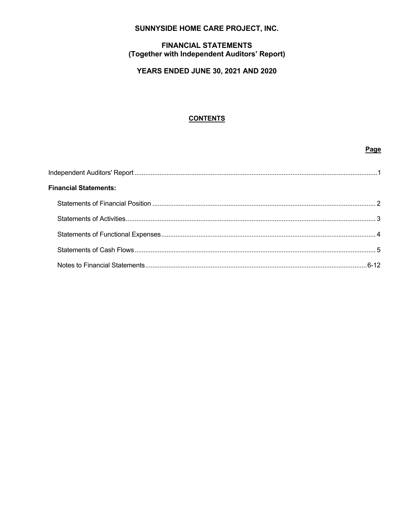# SUNNYSIDE HOME CARE PROJECT, INC.

# **FINANCIAL STATEMENTS** (Together with Independent Auditors' Report)

# YEARS ENDED JUNE 30, 2021 AND 2020

# **CONTENTS**

| <b>Financial Statements:</b> |  |
|------------------------------|--|
|                              |  |
|                              |  |
|                              |  |
|                              |  |
|                              |  |

Page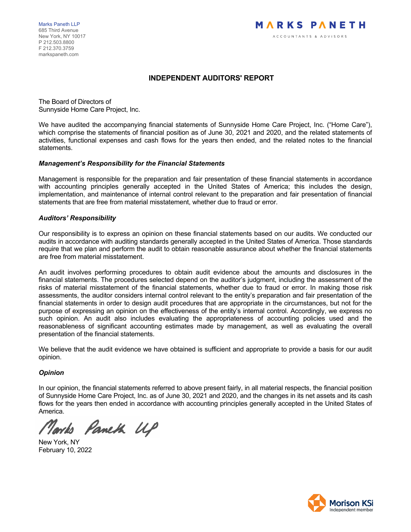# **INDEPENDENT AUDITORS' REPORT**

The Board of Directors of Sunnyside Home Care Project, Inc.

We have audited the accompanying financial statements of Sunnyside Home Care Project, Inc. ("Home Care"), which comprise the statements of financial position as of June 30, 2021 and 2020, and the related statements of activities, functional expenses and cash flows for the years then ended, and the related notes to the financial statements.

# *Management's Responsibility for the Financial Statements*

Management is responsible for the preparation and fair presentation of these financial statements in accordance with accounting principles generally accepted in the United States of America; this includes the design, implementation, and maintenance of internal control relevant to the preparation and fair presentation of financial statements that are free from material misstatement, whether due to fraud or error.

# *Auditors' Responsibility*

Our responsibility is to express an opinion on these financial statements based on our audits. We conducted our audits in accordance with auditing standards generally accepted in the United States of America. Those standards require that we plan and perform the audit to obtain reasonable assurance about whether the financial statements are free from material misstatement.

An audit involves performing procedures to obtain audit evidence about the amounts and disclosures in the financial statements. The procedures selected depend on the auditor's judgment, including the assessment of the risks of material misstatement of the financial statements, whether due to fraud or error. In making those risk assessments, the auditor considers internal control relevant to the entity's preparation and fair presentation of the financial statements in order to design audit procedures that are appropriate in the circumstances, but not for the purpose of expressing an opinion on the effectiveness of the entity's internal control. Accordingly, we express no such opinion. An audit also includes evaluating the appropriateness of accounting policies used and the reasonableness of significant accounting estimates made by management, as well as evaluating the overall presentation of the financial statements.

We believe that the audit evidence we have obtained is sufficient and appropriate to provide a basis for our audit opinion.

# *Opinion*

In our opinion, the financial statements referred to above present fairly, in all material respects, the financial position of Sunnyside Home Care Project, Inc. as of June 30, 2021 and 2020, and the changes in its net assets and its cash flows for the years then ended in accordance with accounting principles generally accepted in the United States of America.

Paneth UP

New York, NY February 10, 2022

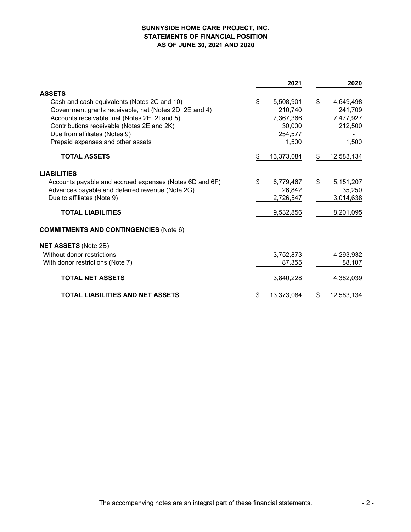# **SUNNYSIDE HOME CARE PROJECT, INC. STATEMENTS OF FINANCIAL POSITION AS OF JUNE 30, 2021 AND 2020**

|                                                         | 2021             | 2020             |
|---------------------------------------------------------|------------------|------------------|
| <b>ASSETS</b>                                           |                  |                  |
| Cash and cash equivalents (Notes 2C and 10)             | \$<br>5,508,901  | \$<br>4,649,498  |
| Government grants receivable, net (Notes 2D, 2E and 4)  | 210,740          | 241,709          |
| Accounts receivable, net (Notes 2E, 2I and 5)           | 7,367,366        | 7,477,927        |
| Contributions receivable (Notes 2E and 2K)              | 30,000           | 212,500          |
| Due from affiliates (Notes 9)                           | 254,577          |                  |
| Prepaid expenses and other assets                       | 1,500            | 1,500            |
| <b>TOTAL ASSETS</b>                                     | \$<br>13,373,084 | \$<br>12,583,134 |
| <b>LIABILITIES</b>                                      |                  |                  |
| Accounts payable and accrued expenses (Notes 6D and 6F) | \$<br>6,779,467  | \$<br>5,151,207  |
| Advances payable and deferred revenue (Note 2G)         | 26,842           | 35,250           |
| Due to affiliates (Note 9)                              | 2,726,547        | 3,014,638        |
| <b>TOTAL LIABILITIES</b>                                | 9,532,856        | 8,201,095        |
| <b>COMMITMENTS AND CONTINGENCIES (Note 6)</b>           |                  |                  |
| <b>NET ASSETS (Note 2B)</b>                             |                  |                  |
| Without donor restrictions                              | 3,752,873        | 4,293,932        |
| With donor restrictions (Note 7)                        | 87,355           | 88,107           |
| <b>TOTAL NET ASSETS</b>                                 | 3,840,228        | 4,382,039        |
| TOTAL LIABILITIES AND NET ASSETS                        | \$<br>13,373,084 | \$<br>12,583,134 |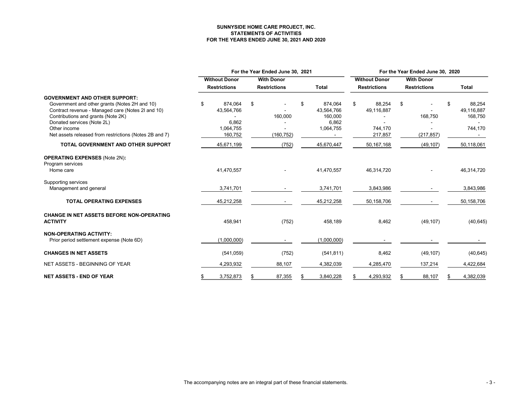#### SUNNYSIDE HOME CARE PROJECT, INC. STATEMENTS OF ACTIVITIES FOR THE YEARS ENDED JUNE 30, 2021 AND 2020

|                                                                                                                                                                                                                                                                                          | For the Year Ended June 30, 2021 |                                                        |                   | For the Year Ended June 30, 2020 |    |                                                        |    |                                            |    |                       |    |                                            |
|------------------------------------------------------------------------------------------------------------------------------------------------------------------------------------------------------------------------------------------------------------------------------------------|----------------------------------|--------------------------------------------------------|-------------------|----------------------------------|----|--------------------------------------------------------|----|--------------------------------------------|----|-----------------------|----|--------------------------------------------|
|                                                                                                                                                                                                                                                                                          | <b>Without Donor</b>             |                                                        | <b>With Donor</b> |                                  |    | <b>Without Donor</b>                                   |    | <b>With Donor</b>                          |    |                       |    |                                            |
|                                                                                                                                                                                                                                                                                          |                                  | <b>Restrictions</b>                                    |                   | <b>Restrictions</b>              |    | <b>Total</b>                                           |    | <b>Restrictions</b>                        |    | <b>Restrictions</b>   |    | <b>Total</b>                               |
| <b>GOVERNMENT AND OTHER SUPPORT:</b><br>Government and other grants (Notes 2H and 10)<br>Contract revenue - Managed care (Notes 2I and 10)<br>Contributions and grants (Note 2K)<br>Donated services (Note 2L)<br>Other income<br>Net assets released from restrictions (Notes 2B and 7) | \$                               | 874.064<br>43,564,766<br>6,862<br>1,064,755<br>160,752 | \$                | 160,000<br>(160, 752)            | \$ | 874,064<br>43,564,766<br>160,000<br>6,862<br>1,064,755 | \$ | 88,254<br>49,116,887<br>744,170<br>217,857 | \$ | 168,750<br>(217, 857) | \$ | 88,254<br>49,116,887<br>168,750<br>744,170 |
| <b>TOTAL GOVERNMENT AND OTHER SUPPORT</b>                                                                                                                                                                                                                                                |                                  | 45,671,199                                             |                   | (752)                            |    | 45,670,447                                             |    | 50,167,168                                 |    | (49, 107)             |    | 50,118,061                                 |
| <b>OPERATING EXPENSES (Note 2N):</b><br>Program services<br>Home care<br>Supporting services                                                                                                                                                                                             |                                  | 41,470,557                                             |                   |                                  |    | 41,470,557                                             |    | 46,314,720                                 |    |                       |    | 46,314,720                                 |
| Management and general                                                                                                                                                                                                                                                                   |                                  | 3,741,701                                              |                   |                                  |    | 3,741,701                                              |    | 3,843,986                                  |    |                       |    | 3,843,986                                  |
| <b>TOTAL OPERATING EXPENSES</b>                                                                                                                                                                                                                                                          |                                  | 45,212,258                                             |                   |                                  |    | 45,212,258                                             |    | 50,158,706                                 |    |                       |    | 50,158,706                                 |
| <b>CHANGE IN NET ASSETS BEFORE NON-OPERATING</b><br><b>ACTIVITY</b>                                                                                                                                                                                                                      |                                  | 458,941                                                |                   | (752)                            |    | 458,189                                                |    | 8,462                                      |    | (49, 107)             |    | (40, 645)                                  |
| <b>NON-OPERATING ACTIVITY:</b><br>Prior period settlement expense (Note 6D)                                                                                                                                                                                                              |                                  | (1,000,000)                                            |                   |                                  |    | (1,000,000)                                            |    |                                            |    |                       |    |                                            |
| <b>CHANGES IN NET ASSETS</b>                                                                                                                                                                                                                                                             |                                  | (541,059)                                              |                   | (752)                            |    | (541, 811)                                             |    | 8,462                                      |    | (49, 107)             |    | (40, 645)                                  |
| NET ASSETS - BEGINNING OF YEAR                                                                                                                                                                                                                                                           |                                  | 4,293,932                                              |                   | 88,107                           |    | 4,382,039                                              |    | 4,285,470                                  |    | 137,214               |    | 4,422,684                                  |
| <b>NET ASSETS - END OF YEAR</b>                                                                                                                                                                                                                                                          |                                  | 3,752,873                                              | \$.               | 87,355                           |    | 3,840,228                                              |    | 4,293,932                                  |    | 88,107                |    | 4,382,039                                  |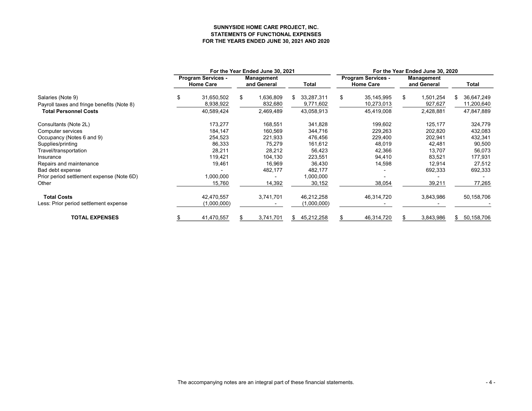#### SUNNYSIDE HOME CARE PROJECT, INC. STATEMENTS OF FUNCTIONAL EXPENSES FOR THE YEARS ENDED JUNE 30, 2021 AND 2020

|                                                                            |    | For the Year Ended June 30, 2021              |    |                           |     | For the Year Ended June 30, 2020 |   |                                        |    |                           |  |                          |
|----------------------------------------------------------------------------|----|-----------------------------------------------|----|---------------------------|-----|----------------------------------|---|----------------------------------------|----|---------------------------|--|--------------------------|
|                                                                            |    | <b>Program Services -</b><br><b>Home Care</b> |    | Management<br>and General |     | Total                            |   | Program Services -<br><b>Home Care</b> |    | Management<br>and General |  | Total                    |
| Salaries (Note 9)                                                          | S. | 31,650,502                                    | \$ | 1,636,809                 | \$  | 33,287,311                       | S | 35,145,995                             | \$ | 1,501,254                 |  | 36,647,249               |
| Payroll taxes and fringe benefits (Note 8)<br><b>Total Personnel Costs</b> |    | 8,938,922<br>40,589,424                       |    | 832,680<br>2,469,489      |     | 9,771,602<br>43,058,913          |   | 10,273,013<br>45,419,008               |    | 927,627<br>2,428,881      |  | 11,200,640<br>47,847,889 |
| Consultants (Note 2L)                                                      |    | 173,277                                       |    | 168,551                   |     | 341,828                          |   | 199,602                                |    | 125,177                   |  | 324,779                  |
| Computer services                                                          |    | 184,147                                       |    | 160,569                   |     | 344,716                          |   | 229,263                                |    | 202,820                   |  | 432,083                  |
| Occupancy (Notes 6 and 9)                                                  |    | 254,523                                       |    | 221,933                   |     | 476,456                          |   | 229,400                                |    | 202,941                   |  | 432,341                  |
| Supplies/printing                                                          |    | 86,333                                        |    | 75,279                    |     | 161,612                          |   | 48,019                                 |    | 42,481                    |  | 90,500                   |
| Travel/transportation                                                      |    | 28,211                                        |    | 28,212                    |     | 56,423                           |   | 42,366                                 |    | 13,707                    |  | 56,073                   |
| Insurance                                                                  |    | 119,421                                       |    | 104,130                   |     | 223,551                          |   | 94,410                                 |    | 83,521                    |  | 177,931                  |
| Repairs and maintenance                                                    |    | 19,461                                        |    | 16,969                    |     | 36,430                           |   | 14,598                                 |    | 12,914                    |  | 27,512                   |
| Bad debt expense                                                           |    |                                               |    | 482,177                   |     | 482,177                          |   |                                        |    | 692,333                   |  | 692,333                  |
| Prior period settlement expense (Note 6D)                                  |    | 1,000,000                                     |    |                           |     | 1,000,000                        |   |                                        |    |                           |  |                          |
| Other                                                                      |    | 15,760                                        |    | 14,392                    |     | 30,152                           |   | 38,054                                 |    | 39,211                    |  | 77,265                   |
| <b>Total Costs</b>                                                         |    | 42,470,557                                    |    | 3,741,701                 |     | 46,212,258                       |   | 46,314,720                             |    | 3,843,986                 |  | 50,158,706               |
| Less: Prior period settlement expense                                      |    | (1,000,000)                                   |    |                           |     | (1,000,000)                      |   |                                        |    |                           |  |                          |
| <b>TOTAL EXPENSES</b>                                                      |    | 41,470,557                                    | \$ | 3,741,701                 | \$. | 45,212,258                       |   | 46,314,720                             |    | 3,843,986                 |  | 50,158,706               |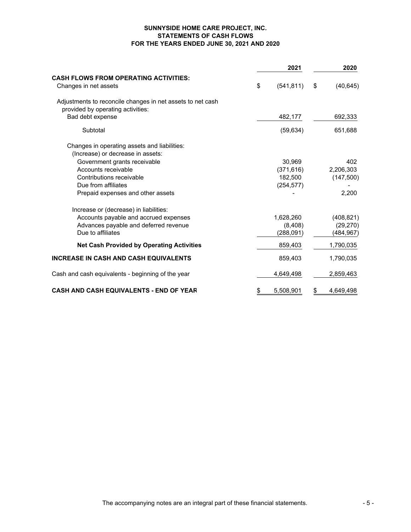# **SUNNYSIDE HOME CARE PROJECT, INC. STATEMENTS OF CASH FLOWS FOR THE YEARS ENDED JUNE 30, 2021 AND 2020**

|                                                                                                 | 2021             | 2020            |
|-------------------------------------------------------------------------------------------------|------------------|-----------------|
| <b>CASH FLOWS FROM OPERATING ACTIVITIES:</b><br>Changes in net assets                           | \$<br>(541, 811) | \$<br>(40, 645) |
| Adjustments to reconcile changes in net assets to net cash<br>provided by operating activities: |                  |                 |
| Bad debt expense                                                                                | 482,177          | 692,333         |
| Subtotal                                                                                        | (59, 634)        | 651,688         |
| Changes in operating assets and liabilities:<br>(Increase) or decrease in assets:               |                  |                 |
| Government grants receivable                                                                    | 30,969           | 402             |
| Accounts receivable                                                                             | (371, 616)       | 2,206,303       |
| Contributions receivable                                                                        | 182,500          | (147, 500)      |
| Due from affiliates                                                                             | (254, 577)       |                 |
| Prepaid expenses and other assets                                                               |                  | 2,200           |
| Increase or (decrease) in liabilities:                                                          |                  |                 |
| Accounts payable and accrued expenses                                                           | 1,628,260        | (408, 821)      |
| Advances payable and deferred revenue                                                           | (8,408)          | (29, 270)       |
| Due to affiliates                                                                               | (288, 091)       | (484, 967)      |
| <b>Net Cash Provided by Operating Activities</b>                                                | 859,403          | 1,790,035       |
| <b>INCREASE IN CASH AND CASH EQUIVALENTS</b>                                                    | 859,403          | 1,790,035       |
| Cash and cash equivalents - beginning of the year                                               | 4,649,498        | 2,859,463       |
| CASH AND CASH EQUIVALENTS - END OF YEAR                                                         | \$<br>5,508,901  | \$<br>4,649,498 |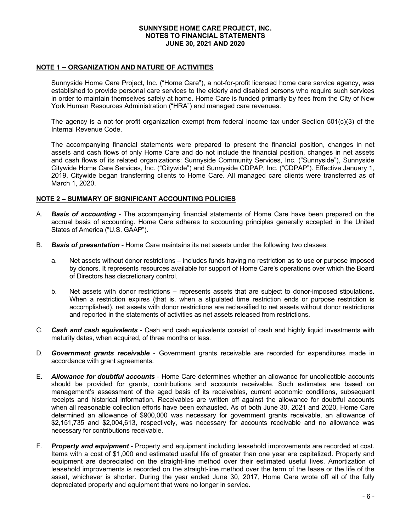# **NOTE 1** – **ORGANIZATION AND NATURE OF ACTIVITIES**

Sunnyside Home Care Project, Inc. ("Home Care"), a not-for-profit licensed home care service agency, was established to provide personal care services to the elderly and disabled persons who require such services in order to maintain themselves safely at home. Home Care is funded primarily by fees from the City of New York Human Resources Administration ("HRA") and managed care revenues.

The agency is a not-for-profit organization exempt from federal income tax under Section 501(c)(3) of the Internal Revenue Code.

The accompanying financial statements were prepared to present the financial position, changes in net assets and cash flows of only Home Care and do not include the financial position, changes in net assets and cash flows of its related organizations: Sunnyside Community Services, Inc. ("Sunnyside"), Sunnyside Citywide Home Care Services, Inc. ("Citywide") and Sunnyside CDPAP, Inc. ("CDPAP"). Effective January 1, 2019, Citywide began transferring clients to Home Care. All managed care clients were transferred as of March 1, 2020.

# **NOTE 2 – SUMMARY OF SIGNIFICANT ACCOUNTING POLICIES**

- A. *Basis of accounting* The accompanying financial statements of Home Care have been prepared on the accrual basis of accounting. Home Care adheres to accounting principles generally accepted in the United States of America ("U.S. GAAP").
- B. *Basis of presentation* Home Care maintains its net assets under the following two classes:
	- a. Net assets without donor restrictions includes funds having no restriction as to use or purpose imposed by donors. It represents resources available for support of Home Care's operations over which the Board of Directors has discretionary control.
	- b. Net assets with donor restrictions represents assets that are subject to donor-imposed stipulations. When a restriction expires (that is, when a stipulated time restriction ends or purpose restriction is accomplished), net assets with donor restrictions are reclassified to net assets without donor restrictions and reported in the statements of activities as net assets released from restrictions.
- C. *Cash and cash equivalents*  Cash and cash equivalents consist of cash and highly liquid investments with maturity dates, when acquired, of three months or less.
- D. *Government grants receivable*  Government grants receivable are recorded for expenditures made in accordance with grant agreements.
- E. *Allowance for doubtful accounts*  Home Care determines whether an allowance for uncollectible accounts should be provided for grants, contributions and accounts receivable. Such estimates are based on management's assessment of the aged basis of its receivables, current economic conditions, subsequent receipts and historical information. Receivables are written off against the allowance for doubtful accounts when all reasonable collection efforts have been exhausted. As of both June 30, 2021 and 2020, Home Care determined an allowance of \$900,000 was necessary for government grants receivable, an allowance of \$2,151,735 and \$2,004,613, respectively, was necessary for accounts receivable and no allowance was necessary for contributions receivable.
- F. *Property and equipment*  Property and equipment including leasehold improvements are recorded at cost. Items with a cost of \$1,000 and estimated useful life of greater than one year are capitalized. Property and equipment are depreciated on the straight-line method over their estimated useful lives. Amortization of leasehold improvements is recorded on the straight-line method over the term of the lease or the life of the asset, whichever is shorter. During the year ended June 30, 2017, Home Care wrote off all of the fully depreciated property and equipment that were no longer in service.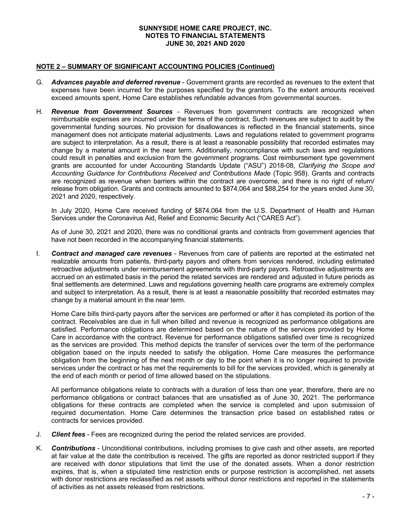# **NOTE 2 – SUMMARY OF SIGNIFICANT ACCOUNTING POLICIES (Continued)**

- G. *Advances payable and deferred revenue* Government grants are recorded as revenues to the extent that expenses have been incurred for the purposes specified by the grantors. To the extent amounts received exceed amounts spent, Home Care establishes refundable advances from governmental sources.
- H. *Revenue from Government Sources*  Revenues from government contracts are recognized when reimbursable expenses are incurred under the terms of the contract. Such revenues are subject to audit by the governmental funding sources. No provision for disallowances is reflected in the financial statements, since management does not anticipate material adjustments. Laws and regulations related to government programs are subject to interpretation. As a result, there is at least a reasonable possibility that recorded estimates may change by a material amount in the near term. Additionally, noncompliance with such laws and regulations could result in penalties and exclusion from the government programs. Cost reimbursement type government grants are accounted for under Accounting Standards Update ("ASU") 2018-08, *Clarifying the Scope and Accounting Guidance for Contributions Received and Contributions Made* (Topic 958). Grants and contracts are recognized as revenue when barriers within the contract are overcome, and there is no right of return/ release from obligation. Grants and contracts amounted to \$874,064 and \$88,254 for the years ended June 30, 2021 and 2020, respectively.

In July 2020, Home Care received funding of \$874,064 from the U.S. Department of Health and Human Services under the Coronavirus Aid, Relief and Economic Security Act ("CARES Act").

As of June 30, 2021 and 2020, there was no conditional grants and contracts from government agencies that have not been recorded in the accompanying financial statements.

I. *Contract and managed care revenues* - Revenues from care of patients are reported at the estimated net realizable amounts from patients, third-party payors and others from services rendered, including estimated retroactive adjustments under reimbursement agreements with third-party payors. Retroactive adjustments are accrued on an estimated basis in the period the related services are rendered and adjusted in future periods as final settlements are determined. Laws and regulations governing health care programs are extremely complex and subject to interpretation. As a result, there is at least a reasonable possibility that recorded estimates may change by a material amount in the near term.

Home Care bills third-party payors after the services are performed or after it has completed its portion of the contract. Receivables are due in full when billed and revenue is recognized as performance obligations are satisfied. Performance obligations are determined based on the nature of the services provided by Home Care in accordance with the contract. Revenue for performance obligations satisfied over time is recognized as the services are provided. This method depicts the transfer of services over the term of the performance obligation based on the inputs needed to satisfy the obligation. Home Care measures the performance obligation from the beginning of the next month or day to the point when it is no longer required to provide services under the contract or has met the requirements to bill for the services provided, which is generally at the end of each month or period of time allowed based on the stipulations.

All performance obligations relate to contracts with a duration of less than one year, therefore, there are no performance obligations or contract balances that are unsatisfied as of June 30, 2021. The performance obligations for these contracts are completed when the service is completed and upon submission of required documentation. Home Care determines the transaction price based on established rates or contracts for services provided.

- J. *Client fees* Fees are recognized during the period the related services are provided.
- K. *Contributions*  Unconditional contributions, including promises to give cash and other assets, are reported at fair value at the date the contribution is received. The gifts are reported as donor restricted support if they are received with donor stipulations that limit the use of the donated assets. When a donor restriction expires, that is, when a stipulated time restriction ends or purpose restriction is accomplished, net assets with donor restrictions are reclassified as net assets without donor restrictions and reported in the statements of activities as net assets released from restrictions.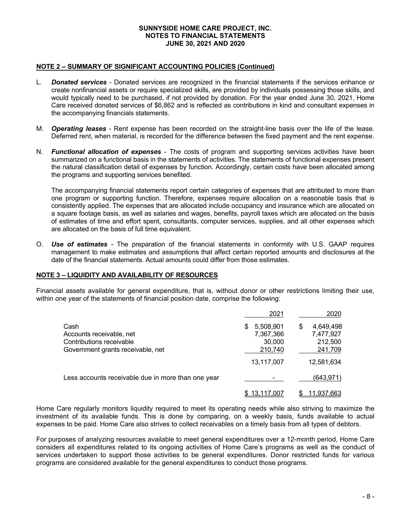# **NOTE 2 – SUMMARY OF SIGNIFICANT ACCOUNTING POLICIES (Continued)**

- L. *Donated services* Donated services are recognized in the financial statements if the services enhance or create nonfinancial assets or require specialized skills, are provided by individuals possessing those skills, and would typically need to be purchased, if not provided by donation. For the year ended June 30, 2021, Home Care received donated services of \$6,862 and is reflected as contributions in kind and consultant expenses in the accompanying financials statements.
- M. *Operating leases* Rent expense has been recorded on the straight-line basis over the life of the lease. Deferred rent, when material, is recorded for the difference between the fixed payment and the rent expense.
- N. *Functional allocation of expenses* The costs of program and supporting services activities have been summarized on a functional basis in the statements of activities. The statements of functional expenses present the natural classification detail of expenses by function. Accordingly, certain costs have been allocated among the programs and supporting services benefited.

The accompanying financial statements report certain categories of expenses that are attributed to more than one program or supporting function. Therefore, expenses require allocation on a reasonable basis that is consistently applied. The expenses that are allocated include occupancy and insurance which are allocated on a square footage basis, as well as salaries and wages, benefits, payroll taxes which are allocated on the basis of estimates of time and effort spent, consultants, computer services, supplies, and all other expenses which are allocated on the basis of full time equivalent.

O. *Use of estimates -* The preparation of the financial statements in conformity with U.S. GAAP requires management to make estimates and assumptions that affect certain reported amounts and disclosures at the date of the financial statements. Actual amounts could differ from those estimates.

# **NOTE 3 – LIQUIDITY AND AVAILABILITY OF RESOURCES**

Financial assets available for general expenditure, that is, without donor or other restrictions limiting their use, within one year of the statements of financial position date, comprise the following:

|                                                                                                   | 2021                                             | 2020                                               |
|---------------------------------------------------------------------------------------------------|--------------------------------------------------|----------------------------------------------------|
| Cash<br>Accounts receivable, net<br>Contributions receivable<br>Government grants receivable, net | 5,508,901<br>S<br>7,367,366<br>30,000<br>210,740 | 4,649,498<br>\$<br>7,477,927<br>212,500<br>241,709 |
|                                                                                                   | 13,117,007                                       | 12,581,634                                         |
| Less accounts receivable due in more than one year                                                |                                                  | (643, 971)                                         |
|                                                                                                   | 13.117.007                                       | .937.663                                           |

Home Care regularly monitors liquidity required to meet its operating needs while also striving to maximize the investment of its available funds. This is done by comparing, on a weekly basis, funds available to actual expenses to be paid. Home Care also strives to collect receivables on a timely basis from all types of debtors.

For purposes of analyzing resources available to meet general expenditures over a 12-month period, Home Care considers all expenditures related to its ongoing activities of Home Care's programs as well as the conduct of services undertaken to support those activities to be general expenditures. Donor restricted funds for various programs are considered available for the general expenditures to conduct those programs.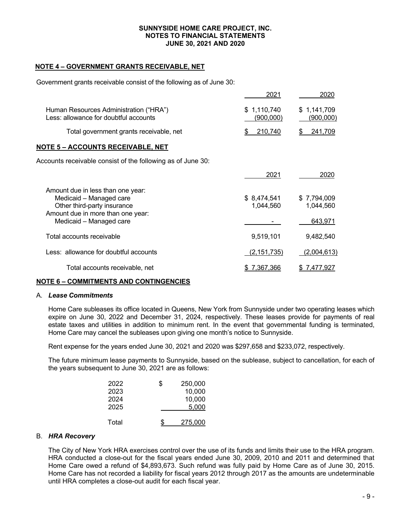# **NOTE 4 – GOVERNMENT GRANTS RECEIVABLE, NET**

Government grants receivable consist of the following as of June 30:

|                                                                                                                                                             | 2021                      | 2020                                |
|-------------------------------------------------------------------------------------------------------------------------------------------------------------|---------------------------|-------------------------------------|
| Human Resources Administration ("HRA")<br>Less: allowance for doubtful accounts                                                                             | \$1,110,740<br>(900,000)  | \$1,141,709<br>(900,000)            |
| Total government grants receivable, net                                                                                                                     | 210,740                   | 241,709                             |
| <b>NOTE 5 – ACCOUNTS RECEIVABLE, NET</b>                                                                                                                    |                           |                                     |
| Accounts receivable consist of the following as of June 30:                                                                                                 |                           |                                     |
|                                                                                                                                                             | 2021                      | 2020                                |
| Amount due in less than one year:<br>Medicaid - Managed care<br>Other third-party insurance<br>Amount due in more than one year:<br>Medicaid - Managed care | \$ 8,474,541<br>1,044,560 | \$7,794,009<br>1,044,560<br>643,971 |
| Total accounts receivable                                                                                                                                   | 9,519,101                 | 9,482,540                           |
| Less: allowance for doubtful accounts                                                                                                                       | (2, 151, 735)             | (2,004,613)                         |
| Total accounts receivable, net                                                                                                                              | 7,367,366                 | 7.477.927                           |
|                                                                                                                                                             |                           |                                     |

# **NOTE 6 – COMMITMENTS AND CONTINGENCIES**

# A. *Lease Commitments*

Home Care subleases its office located in Queens, New York from Sunnyside under two operating leases which expire on June 30, 2022 and December 31, 2024, respectively. These leases provide for payments of real estate taxes and utilities in addition to minimum rent. In the event that governmental funding is terminated, Home Care may cancel the subleases upon giving one month's notice to Sunnyside.

Rent expense for the years ended June 30, 2021 and 2020 was \$297,658 and \$233,072, respectively.

The future minimum lease payments to Sunnyside, based on the sublease, subject to cancellation, for each of the years subsequent to June 30, 2021 are as follows:

| 2022  | S | 250,000 |
|-------|---|---------|
| 2023  |   | 10,000  |
| 2024  |   | 10,000  |
| 2025  |   | 5,000   |
| Total |   | 275,000 |

# B. *HRA Recovery*

The City of New York HRA exercises control over the use of its funds and limits their use to the HRA program. HRA conducted a close-out for the fiscal years ended June 30, 2009, 2010 and 2011 and determined that Home Care owed a refund of \$4,893,673. Such refund was fully paid by Home Care as of June 30, 2015. Home Care has not recorded a liability for fiscal years 2012 through 2017 as the amounts are undeterminable until HRA completes a close-out audit for each fiscal year.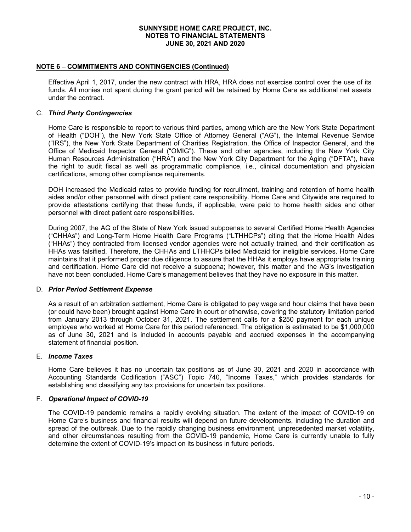# **NOTE 6 – COMMITMENTS AND CONTINGENCIES (Continued)**

Effective April 1, 2017, under the new contract with HRA, HRA does not exercise control over the use of its funds. All monies not spent during the grant period will be retained by Home Care as additional net assets under the contract.

# C. *Third Party Contingencies*

Home Care is responsible to report to various third parties, among which are the New York State Department of Health ("DOH"), the New York State Office of Attorney General ("AG"), the Internal Revenue Service ("IRS"), the New York State Department of Charities Registration, the Office of Inspector General, and the Office of Medicaid Inspector General ("OMIG"). These and other agencies, including the New York City Human Resources Administration ("HRA") and the New York City Department for the Aging ("DFTA"), have the right to audit fiscal as well as programmatic compliance, i.e., clinical documentation and physician certifications, among other compliance requirements.

DOH increased the Medicaid rates to provide funding for recruitment, training and retention of home health aides and/or other personnel with direct patient care responsibility. Home Care and Citywide are required to provide attestations certifying that these funds, if applicable, were paid to home health aides and other personnel with direct patient care responsibilities.

During 2007, the AG of the State of New York issued subpoenas to several Certified Home Health Agencies ("CHHAs") and Long-Term Home Health Care Programs ("LTHHCPs") citing that the Home Health Aides ("HHAs") they contracted from licensed vendor agencies were not actually trained, and their certification as HHAs was falsified. Therefore, the CHHAs and LTHHCPs billed Medicaid for ineligible services. Home Care maintains that it performed proper due diligence to assure that the HHAs it employs have appropriate training and certification. Home Care did not receive a subpoena; however, this matter and the AG's investigation have not been concluded. Home Care's management believes that they have no exposure in this matter.

# D. *Prior Period Settlement Expense*

As a result of an arbitration settlement, Home Care is obligated to pay wage and hour claims that have been (or could have been) brought against Home Care in court or otherwise, covering the statutory limitation period from January 2013 through October 31, 2021. The settlement calls for a \$250 payment for each unique employee who worked at Home Care for this period referenced. The obligation is estimated to be \$1,000,000 as of June 30, 2021 and is included in accounts payable and accrued expenses in the accompanying statement of financial position.

# E. *Income Taxes*

Home Care believes it has no uncertain tax positions as of June 30, 2021 and 2020 in accordance with Accounting Standards Codification ("ASC") Topic 740, "Income Taxes," which provides standards for establishing and classifying any tax provisions for uncertain tax positions.

# F. *Operational Impact of COVID-19*

The COVID-19 pandemic remains a rapidly evolving situation. The extent of the impact of COVID-19 on Home Care's business and financial results will depend on future developments, including the duration and spread of the outbreak. Due to the rapidly changing business environment, unprecedented market volatility, and other circumstances resulting from the COVID-19 pandemic, Home Care is currently unable to fully determine the extent of COVID-19's impact on its business in future periods.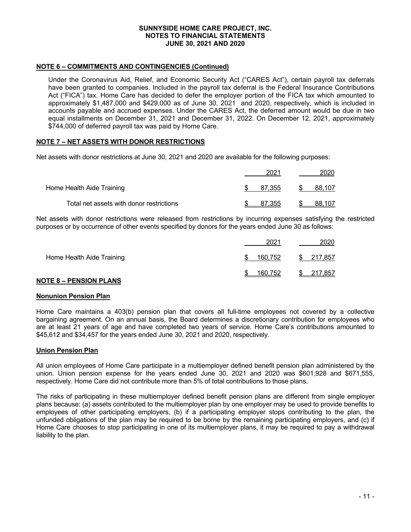# **NOTE 6 – COMMITMENTS AND CONTINGENCIES (Continued)**

Under the Coronavirus Aid, Relief, and Economic Security Act ("CARES Act"), certain payroll tax deferrals have been granted to companies. Included in the payroll tax deferral is the Federal Insurance Contributions Act ("FICA") tax. Home Care has decided to defer the employer portion of the FICA tax which amounted to approximately \$1,487,000 and \$429,000 as of June 30, 2021 and 2020, respectively, which is included in accounts payable and accrued expenses. Under the CARES Act, the deferred amount would be due in two equal installments on December 31, 2021 and December 31, 2022. On December 12, 2021, approximately \$744,000 of deferred payroll tax was paid by Home Care.

# **NOTE 7 – NET ASSETS WITH DONOR RESTRICTIONS**

Net assets with donor restrictions at June 30, 2021 and 2020 are available for the following purposes:

|                                          | 2021   | 2020   |
|------------------------------------------|--------|--------|
| Home Health Aide Training                | 87.355 | 88.107 |
| Total net assets with donor restrictions | 87.355 | 88.107 |

Net assets with donor restrictions were released from restrictions by incurring expenses satisfying the restricted purposes or by occurrence of other events specified by donors for the years ended June 30 as follows:

|                           | 2021    | 2020       |
|---------------------------|---------|------------|
| Home Health Aide Training | 160,752 | \$ 217,857 |
|                           | 160.752 | \$217,857  |

# **NOTE 8 – PENSION PLANS**

# **Nonunion Pension Plan**

Home Care maintains a 403(b) pension plan that covers all full-time employees not covered by a collective bargaining agreement. On an annual basis, the Board determines a discretionary contribution for employees who are at least 21 years of age and have completed two years of service. Home Care's contributions amounted to \$45,612 and \$34,457 for the years ended June 30, 2021 and 2020, respectively.

# **Union Pension Plan**

All union employees of Home Care participate in a multiemployer defined benefit pension plan administered by the union. Union pension expense for the years ended June 30, 2021 and 2020 was \$601,928 and \$671,555, respectively. Home Care did not contribute more than 5% of total contributions to those plans.

The risks of participating in these multiemployer defined benefit pension plans are different from single employer plans because: (a) assets contributed to the multiemployer plan by one employer may be used to provide benefits to employees of other participating employers, (b) if a participating employer stops contributing to the plan, the unfunded obligations of the plan may be required to be borne by the remaining participating employers, and (c) if Home Care chooses to stop participating in one of its multiemployer plans, it may be required to pay a withdrawal liability to the plan.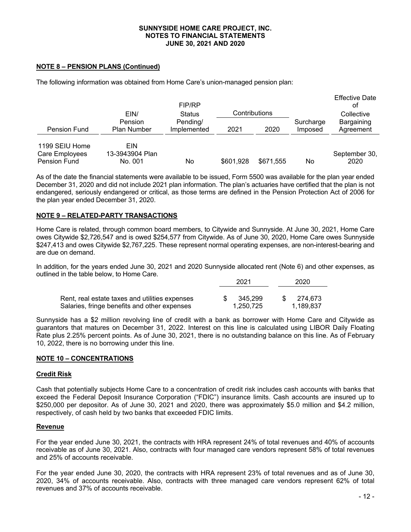# **NOTE 8 – PENSION PLANS (Continued)**

The following information was obtained from Home Care's union-managed pension plan:

|                                                         | EIN/                                     | FIP/RP<br><b>Status</b> | Contributions |           |                      | <b>Effective Date</b><br>оf<br>Collective |
|---------------------------------------------------------|------------------------------------------|-------------------------|---------------|-----------|----------------------|-------------------------------------------|
| <b>Pension Fund</b>                                     | Pension<br><b>Plan Number</b>            | Pending/<br>Implemented | 2021          | 2020      | Surcharge<br>Imposed | Bargaining<br>Agreement                   |
| 1199 SEIU Home<br>Care Employees<br><b>Pension Fund</b> | <b>EIN</b><br>13-3943904 Plan<br>No. 001 | No                      | \$601,928     | \$671,555 | No                   | September 30,<br>2020                     |

As of the date the financial statements were available to be issued, Form 5500 was available for the plan year ended December 31, 2020 and did not include 2021 plan information. The plan's actuaries have certified that the plan is not endangered, seriously endangered or critical, as those terms are defined in the Pension Protection Act of 2006 for the plan year ended December 31, 2020.

# **NOTE 9 – RELATED-PARTY TRANSACTIONS**

Home Care is related, through common board members, to Citywide and Sunnyside. At June 30, 2021, Home Care owes Citywide \$2,726,547 and is owed \$254,577 from Citywide. As of June 30, 2020, Home Care owes Sunnyside \$247,413 and owes Citywide \$2,767,225. These represent normal operating expenses, are non-interest-bearing and are due on demand.

In addition, for the years ended June 30, 2021 and 2020 Sunnyside allocated rent (Note 6) and other expenses, as outlined in the table below, to Home Care. 2021 2020

|                                                | ZUZ I     |    | ZUZU      |  |
|------------------------------------------------|-----------|----|-----------|--|
|                                                |           |    |           |  |
| Rent, real estate taxes and utilities expenses | 345.299   | S. | 274.673   |  |
| Salaries, fringe benefits and other expenses   | 1.250.725 |    | 1.189.837 |  |

Sunnyside has a \$2 million revolving line of credit with a bank as borrower with Home Care and Citywide as guarantors that matures on December 31, 2022. Interest on this line is calculated using LIBOR Daily Floating Rate plus 2.25% percent points. As of June 30, 2021, there is no outstanding balance on this line. As of February 10, 2022, there is no borrowing under this line.

# **NOTE 10 – CONCENTRATIONS**

# **Credit Risk**

Cash that potentially subjects Home Care to a concentration of credit risk includes cash accounts with banks that exceed the Federal Deposit Insurance Corporation ("FDIC") insurance limits. Cash accounts are insured up to \$250,000 per depositor. As of June 30, 2021 and 2020, there was approximately \$5.0 million and \$4.2 million, respectively, of cash held by two banks that exceeded FDIC limits.

# **Revenue**

For the year ended June 30, 2021, the contracts with HRA represent 24% of total revenues and 40% of accounts receivable as of June 30, 2021. Also, contracts with four managed care vendors represent 58% of total revenues and 25% of accounts receivable.

For the year ended June 30, 2020, the contracts with HRA represent 23% of total revenues and as of June 30, 2020, 34% of accounts receivable. Also, contracts with three managed care vendors represent 62% of total revenues and 37% of accounts receivable.